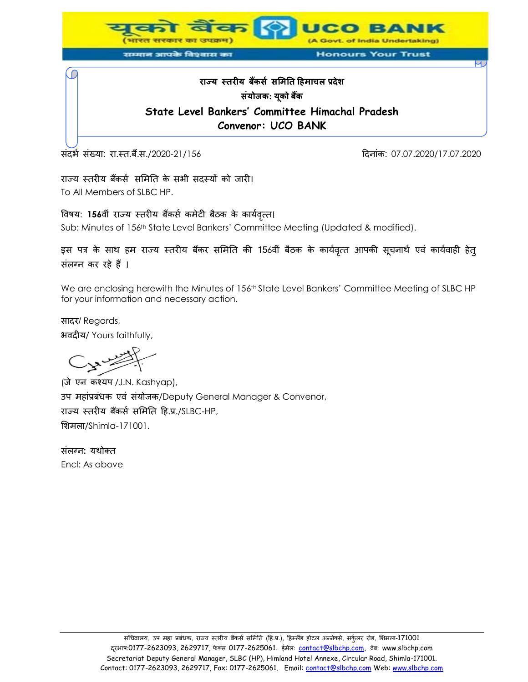

# **राज्य स्तरीय बकैंर्स र्मितत हििाचल प्रदेश र्ंयोजक: यकू ो बकैं State Level Bankers' Committee Himachal Pradesh Convenor: UCO BANK**

संदर्भ संख्या: रा.स्त.बैं.स./2020-21/156 हिंदी का संस्था करता है। संस्कृत संस्कृत २०.०७.2020/17.07.2020 संस्कृ

राज्य स्तरीय बैंकर्स समिति के सभी सदस्यों को जारी। To All Members of SLBC HP.

विषय: 156वीं राज्य स्तरीय बैंकर्स कमेटी बैठक के कार्यवृत्त। Sub: Minutes of 156th State Level Bankers' Committee Meeting (Updated & modified).

इस पत्र के साथ हम राज्य स्तरीय बैंकर समिति की 156वीं बैठक के कार्यवृत्त आपकी सूचनार्थ एवं कार्यवाही हेत् संलग्न कर रहे हैं ।

We are enclosing herewith the Minutes of 156<sup>th</sup> State Level Bankers' Committee Meeting of SLBC HP for your information and necessary action.

सादर/ Regards, भवदीय/ Yours faithfully,

(जे एन कश्यप /J.N. Kashyap), उप महांप्रबंधक एवं संयोजक/Deputy General Manager & Convenor, राज्य स्तरीय बैंकर्स समिति हि.प्र./SLBC-HP, मिमला/Shimla-171001.

संलग् न**:** यथोक् त Encl: As above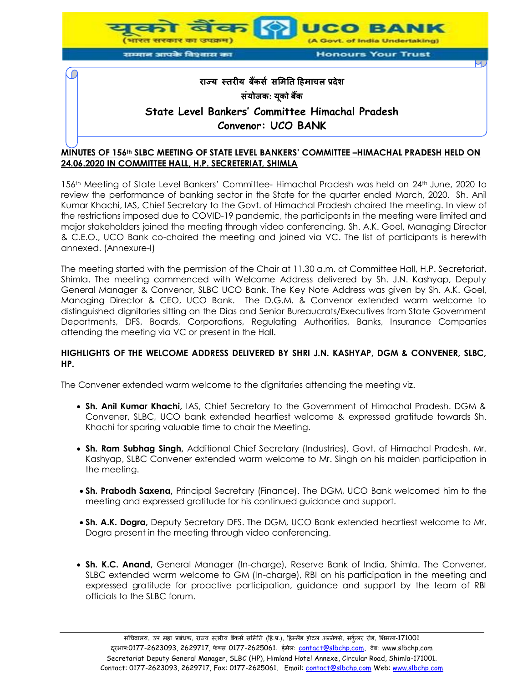

# **MINUTES OF 156th SLBC MEETING OF STATE LEVEL BANKERS' COMMITTEE –HIMACHAL PRADESH HELD ON 24.06.2020 IN COMMITTEE HALL, H.P. SECRETERIAT, SHIMLA**

156th Meeting of State Level Bankers' Committee- Himachal Pradesh was held on 24th June, 2020 to review the performance of banking sector in the State for the quarter ended March, 2020. Sh. Anil Kumar Khachi, IAS, Chief Secretary to the Govt. of Himachal Pradesh chaired the meeting. In view of the restrictions imposed due to COVID-19 pandemic, the participants in the meeting were limited and major stakeholders joined the meeting through video conferencing. Sh. A.K. Goel, Managing Director & C.E.O., UCO Bank co-chaired the meeting and joined via VC. The list of participants is herewith annexed. (Annexure-I)

The meeting started with the permission of the Chair at 11.30 a.m. at Committee Hall, H.P. Secretariat, Shimla. The meeting commenced with Welcome Address delivered by Sh. J.N. Kashyap, Deputy General Manager & Convenor, SLBC UCO Bank. The Key Note Address was given by Sh. A.K. Goel, Managing Director & CEO, UCO Bank. The D.G.M. & Convenor extended warm welcome to distinguished dignitaries sitting on the Dias and Senior Bureaucrats/Executives from State Government Departments, DFS, Boards, Corporations, Regulating Authorities, Banks, Insurance Companies attending the meeting via VC or present in the Hall.

#### **HIGHLIGHTS OF THE WELCOME ADDRESS DELIVERED BY SHRI J.N. KASHYAP, DGM & CONVENER, SLBC, HP.**

The Convener extended warm welcome to the dignitaries attending the meeting viz.

- **Sh. Anil Kumar Khachi,** IAS, Chief Secretary to the Government of Himachal Pradesh. DGM & Convener, SLBC, UCO bank extended heartiest welcome & expressed gratitude towards Sh. Khachi for sparing valuable time to chair the Meeting.
- **Sh. Ram Subhag Singh,** Additional Chief Secretary (Industries), Govt. of Himachal Pradesh. Mr. Kashyap, SLBC Convener extended warm welcome to Mr. Singh on his maiden participation in the meeting.
- **Sh. Prabodh Saxena,** Principal Secretary (Finance). The DGM, UCO Bank welcomed him to the meeting and expressed gratitude for his continued guidance and support.
- **Sh. A.K. Dogra,** Deputy Secretary DFS. The DGM, UCO Bank extended heartiest welcome to Mr. Dogra present in the meeting through video conferencing.
- **Sh. K.C. Anand,** General Manager (In-charge), Reserve Bank of India, Shimla. The Convener, SLBC extended warm welcome to GM (In-charge), RBI on his participation in the meeting and expressed gratitude for proactive participation, guidance and support by the team of RBI officials to the SLBC forum.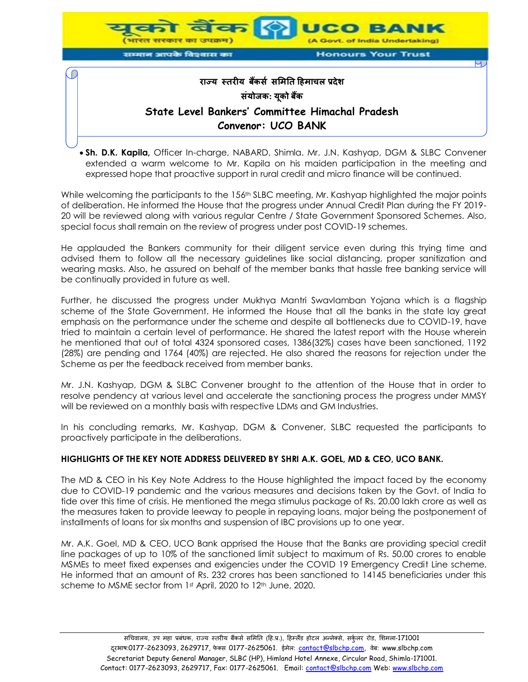

 **Sh. D.K. Kapila,** Officer In-charge, NABARD, Shimla. Mr. J.N. Kashyap, DGM & SLBC Convener extended a warm welcome to Mr. Kapila on his maiden participation in the meeting and expressed hope that proactive support in rural credit and micro finance will be continued.

While welcoming the participants to the 156<sup>th</sup> SLBC meeting, Mr. Kashyap highlighted the major points of deliberation. He informed the House that the progress under Annual Credit Plan during the FY 2019- 20 will be reviewed along with various regular Centre / State Government Sponsored Schemes. Also, special focus shall remain on the review of progress under post COVID-19 schemes.

He applauded the Bankers community for their diligent service even during this trying time and advised them to follow all the necessary guidelines like social distancing, proper sanitization and wearing masks. Also, he assured on behalf of the member banks that hassle free banking service will be continually provided in future as well.

Further, he discussed the progress under Mukhya Mantri Swavlamban Yojana which is a flagship scheme of the State Government. He informed the House that all the banks in the state lay great emphasis on the performance under the scheme and despite all bottlenecks due to COVID-19, have tried to maintain a certain level of performance. He shared the latest report with the House wherein he mentioned that out of total 4324 sponsored cases, 1386(32%) cases have been sanctioned, 1192 (28%) are pending and 1764 (40%) are rejected. He also shared the reasons for rejection under the Scheme as per the feedback received from member banks.

Mr. J.N. Kashyap, DGM & SLBC Convener brought to the attention of the House that in order to resolve pendency at various level and accelerate the sanctioning process the progress under MMSY will be reviewed on a monthly basis with respective LDMs and GM Industries.

In his concluding remarks, Mr. Kashyap, DGM & Convener, SLBC requested the participants to proactively participate in the deliberations.

#### **HIGHLIGHTS OF THE KEY NOTE ADDRESS DELIVERED BY SHRI A.K. GOEL, MD & CEO, UCO BANK.**

The MD & CEO in his Key Note Address to the House highlighted the impact faced by the economy due to COVID-19 pandemic and the various measures and decisions taken by the Govt. of India to tide over this time of crisis. He mentioned the mega stimulus package of Rs. 20.00 lakh crore as well as the measures taken to provide leeway to people in repaying loans, major being the postponement of installments of loans for six months and suspension of IBC provisions up to one year.

Mr. A.K. Goel, MD & CEO, UCO Bank apprised the House that the Banks are providing special credit line packages of up to 10% of the sanctioned limit subject to maximum of Rs. 50.00 crores to enable MSMEs to meet fixed expenses and exigencies under the COVID 19 Emergency Credit Line scheme. He informed that an amount of Rs. 232 crores has been sanctioned to 14145 beneficiaries under this scheme to MSME sector from 1st April, 2020 to 12th June, 2020.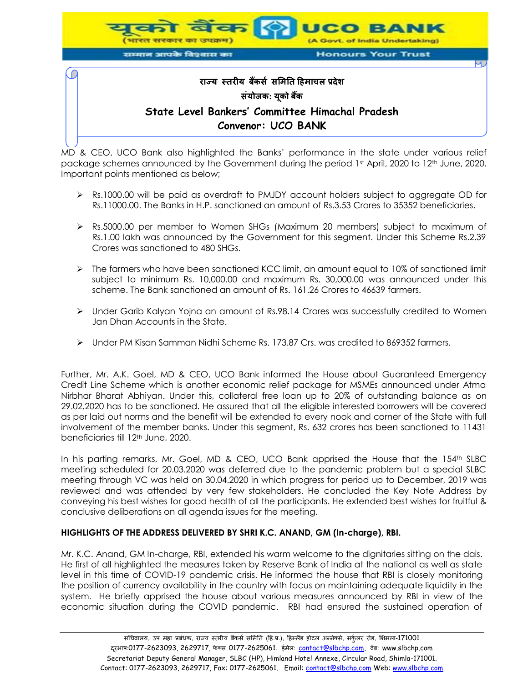

MD & CEO, UCO Bank also highlighted the Banks' performance in the state under various relief package schemes announced by the Government during the period 1st April, 2020 to 12<sup>th</sup> June, 2020. Important points mentioned as below;

- Rs.1000.00 will be paid as overdraft to PMJDY account holders subject to aggregate OD for Rs.11000.00. The Banks in H.P. sanctioned an amount of Rs.3.53 Crores to 35352 beneficiaries.
- Rs.5000.00 per member to Women SHGs (Maximum 20 members) subject to maximum of Rs.1.00 lakh was announced by the Government for this segment. Under this Scheme Rs.2.39 Crores was sanctioned to 480 SHGs.
- $\triangleright$  The farmers who have been sanctioned KCC limit, an amount equal to 10% of sanctioned limit subject to minimum Rs. 10,000.00 and maximum Rs. 30,000.00 was announced under this scheme. The Bank sanctioned an amount of Rs. 161.26 Crores to 46639 farmers.
- Under Garib Kalyan Yojna an amount of Rs.98.14 Crores was successfully credited to Women Jan Dhan Accounts in the State.
- Under PM Kisan Samman Nidhi Scheme Rs. 173.87 Crs. was credited to 869352 farmers.

Further, Mr. A.K. Goel, MD & CEO, UCO Bank informed the House about Guaranteed Emergency Credit Line Scheme which is another economic relief package for MSMEs announced under Atma Nirbhar Bharat Abhiyan. Under this, collateral free loan up to 20% of outstanding balance as on 29.02.2020 has to be sanctioned. He assured that all the eligible interested borrowers will be covered as per laid out norms and the benefit will be extended to every nook and corner of the State with full involvement of the member banks. Under this segment, Rs. 632 crores has been sanctioned to 11431 beneficiaries till 12th June, 2020.

In his parting remarks, Mr. Goel, MD & CEO, UCO Bank apprised the House that the 154<sup>th</sup> SLBC meeting scheduled for 20.03.2020 was deferred due to the pandemic problem but a special SLBC meeting through VC was held on 30.04.2020 in which progress for period up to December, 2019 was reviewed and was attended by very few stakeholders. He concluded the Key Note Address by conveying his best wishes for good health of all the participants. He extended best wishes for fruitful & conclusive deliberations on all agenda issues for the meeting.

#### **HIGHLIGHTS OF THE ADDRESS DELIVERED BY SHRI K.C. ANAND, GM (In-charge), RBI.**

Mr. K.C. Anand, GM In-charge, RBI, extended his warm welcome to the dignitaries sitting on the dais. He first of all highlighted the measures taken by Reserve Bank of India at the national as well as state level in this time of COVID-19 pandemic crisis. He informed the house that RBI is closely monitoring the position of currency availability in the country with focus on maintaining adequate liquidity in the system. He briefly apprised the house about various measures announced by RBI in view of the economic situation during the COVID pandemic. RBI had ensured the sustained operation of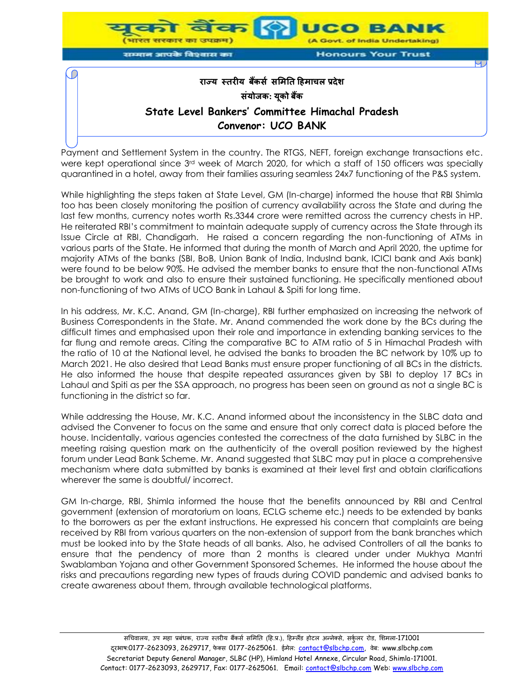

Payment and Settlement System in the country. The RTGS, NEFT, foreign exchange transactions etc. were kept operational since 3rd week of March 2020, for which a staff of 150 officers was specially quarantined in a hotel, away from their families assuring seamless 24x7 functioning of the P&S system.

While highlighting the steps taken at State Level, GM (In-charge) informed the house that RBI Shimla too has been closely monitoring the position of currency availability across the State and during the last few months, currency notes worth Rs.3344 crore were remitted across the currency chests in HP. He reiterated RBI's commitment to maintain adequate supply of currency across the State through its Issue Circle at RBI, Chandigarh. He raised a concern regarding the non-functioning of ATMs in various parts of the State. He informed that during the month of March and April 2020, the uptime for majority ATMs of the banks (SBI, BoB, Union Bank of India, IndusInd bank, ICICI bank and Axis bank) were found to be below 90%. He advised the member banks to ensure that the non-functional ATMs be brought to work and also to ensure their sustained functioning. He specifically mentioned about non-functioning of two ATMs of UCO Bank in Lahaul & Spiti for long time.

In his address, Mr. K.C. Anand, GM (In-charge), RBI further emphasized on increasing the network of Business Correspondents in the State. Mr. Anand commended the work done by the BCs during the difficult times and emphasised upon their role and importance in extending banking services to the far flung and remote areas. Citing the comparative BC to ATM ratio of 5 in Himachal Pradesh with the ratio of 10 at the National level, he advised the banks to broaden the BC network by 10% up to March 2021. He also desired that Lead Banks must ensure proper functioning of all BCs in the districts. He also informed the house that despite repeated assurances given by SBI to deploy 17 BCs in Lahaul and Spiti as per the SSA approach, no progress has been seen on ground as not a single BC is functioning in the district so far.

While addressing the House, Mr. K.C. Anand informed about the inconsistency in the SLBC data and advised the Convener to focus on the same and ensure that only correct data is placed before the house. Incidentally, various agencies contested the correctness of the data furnished by SLBC in the meeting raising question mark on the authenticity of the overall position reviewed by the highest forum under Lead Bank Scheme. Mr. Anand suggested that SLBC may put in place a comprehensive mechanism where data submitted by banks is examined at their level first and obtain clarifications wherever the same is doubtful/ incorrect.

GM In-charge, RBI, Shimla informed the house that the benefits announced by RBI and Central government (extension of moratorium on loans, ECLG scheme etc.) needs to be extended by banks to the borrowers as per the extant instructions. He expressed his concern that complaints are being received by RBI from various quarters on the non-extension of support from the bank branches which must be looked into by the State heads of all banks. Also, he advised Controllers of all the banks to ensure that the pendency of more than 2 months is cleared under under Mukhya Mantri Swablamban Yojana and other Government Sponsored Schemes. He informed the house about the risks and precautions regarding new types of frauds during COVID pandemic and advised banks to create awareness about them, through available technological platforms.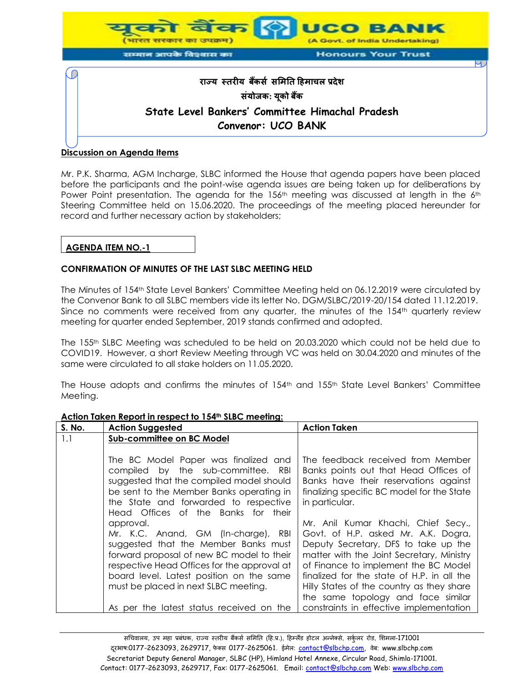

#### **Discussion on Agenda Items**

Mr. P.K. Sharma, AGM Incharge, SLBC informed the House that agenda papers have been placed before the participants and the point-wise agenda issues are being taken up for deliberations by Power Point presentation. The agenda for the 156<sup>th</sup> meeting was discussed at length in the 6<sup>th</sup> Steering Committee held on 15.06.2020. The proceedings of the meeting placed hereunder for record and further necessary action by stakeholders;

### **AGENDA ITEM NO.-1**

#### **CONFIRMATION OF MINUTES OF THE LAST SLBC MEETING HELD**

The Minutes of 154th State Level Bankers' Committee Meeting held on 06.12.2019 were circulated by the Convenor Bank to all SLBC members vide its letter No. DGM/SLBC/2019-20/154 dated 11.12.2019. Since no comments were received from any quarter, the minutes of the 154<sup>th</sup> quarterly review meeting for quarter ended September, 2019 stands confirmed and adopted.

The 155th SLBC Meeting was scheduled to be held on 20.03.2020 which could not be held due to COVID19. However, a short Review Meeting through VC was held on 30.04.2020 and minutes of the same were circulated to all stake holders on 11.05.2020.

The House adopts and confirms the minutes of 154th and 155th State Level Bankers' Committee Meeting.

| S. No. | <b>Action Suggested</b>                                                                                                                                                                                        | <b>Action Taken</b>                                                                                                                                                                 |
|--------|----------------------------------------------------------------------------------------------------------------------------------------------------------------------------------------------------------------|-------------------------------------------------------------------------------------------------------------------------------------------------------------------------------------|
| 1.1    | Sub-committee on BC Model                                                                                                                                                                                      |                                                                                                                                                                                     |
|        |                                                                                                                                                                                                                |                                                                                                                                                                                     |
|        | The BC Model Paper was finalized and<br>compiled by the sub-committee.<br>RBI<br>suggested that the compiled model should<br>be sent to the Member Banks operating in<br>the State and forwarded to respective | The feedback received from Member<br>Banks points out that Head Offices of<br>Banks have their reservations against<br>finalizing specific BC model for the State<br>in particular. |
|        | Head Offices of the Banks for their                                                                                                                                                                            |                                                                                                                                                                                     |
|        | approval.                                                                                                                                                                                                      | Mr. Anil Kumar Khachi, Chief Secy.,                                                                                                                                                 |
|        | Mr. K.C. Anand, GM (In-charge), RBI                                                                                                                                                                            | Govt. of H.P. asked Mr. A.K. Dogra,                                                                                                                                                 |
|        | suggested that the Member Banks must                                                                                                                                                                           | Deputy Secretary, DFS to take up the                                                                                                                                                |
|        | forward proposal of new BC model to their                                                                                                                                                                      | matter with the Joint Secretary, Ministry                                                                                                                                           |
|        | respective Head Offices for the approval at                                                                                                                                                                    | of Finance to implement the BC Model<br>finalized for the state of H.P. in all the                                                                                                  |
|        | board level. Latest position on the same                                                                                                                                                                       |                                                                                                                                                                                     |
|        | must be placed in next SLBC meeting.                                                                                                                                                                           | Hilly States of the country as they share                                                                                                                                           |
|        |                                                                                                                                                                                                                | the same topology and face similar                                                                                                                                                  |
|        | As per the latest status received on the                                                                                                                                                                       | constraints in effective implementation                                                                                                                                             |

#### **Action Taken Report in respect to 154th SLBC meeting:**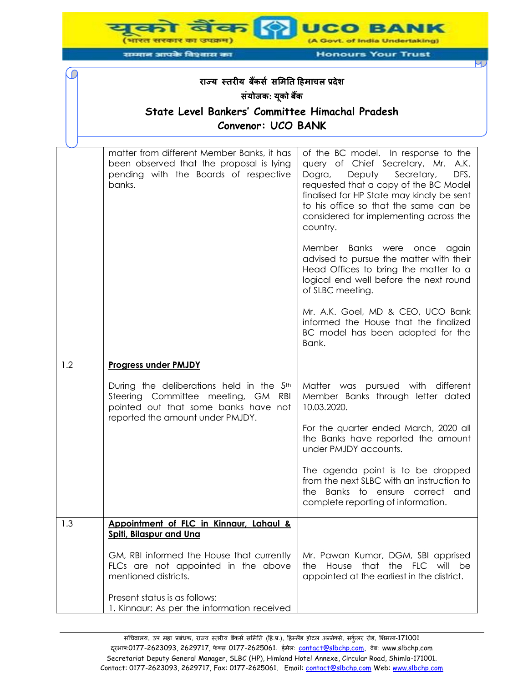**UCO BANK** (A Govt. of India Undertaking) (भारत सरकार का उपक्रम) सम्मान आपके विश्वास का

C

**Honours Your Trust** 

# **राज्य स्तरीय बकैंर्स र्मितत हििाचल प्रदेश र्ंयोजक: यकू ो बकैं State Level Bankers' Committee Himachal Pradesh Convenor: UCO BANK**

|     | matter from different Member Banks, it has<br>been observed that the proposal is lying<br>pending with the Boards of respective<br>banks.                  | of the BC model. In response to the<br>query of Chief Secretary, Mr. A.K.<br>Deputy<br>Secretary,<br>DFS,<br>Dogra,<br>requested that a copy of the BC Model<br>finalised for HP State may kindly be sent<br>to his office so that the same can be<br>considered for implementing across the<br>country. |
|-----|------------------------------------------------------------------------------------------------------------------------------------------------------------|----------------------------------------------------------------------------------------------------------------------------------------------------------------------------------------------------------------------------------------------------------------------------------------------------------|
|     |                                                                                                                                                            | Member Banks were once<br>again<br>advised to pursue the matter with their<br>Head Offices to bring the matter to a<br>logical end well before the next round<br>of SLBC meeting.                                                                                                                        |
|     |                                                                                                                                                            | Mr. A.K. Goel, MD & CEO, UCO Bank<br>informed the House that the finalized<br>BC model has been adopted for the<br>Bank.                                                                                                                                                                                 |
| 1.2 | <b>Progress under PMJDY</b>                                                                                                                                |                                                                                                                                                                                                                                                                                                          |
|     | During the deliberations held in the 5th<br>Steering Committee meeting, GM RBI<br>pointed out that some banks have not<br>reported the amount under PMJDY. | Matter was pursued with different<br>Member Banks through letter dated<br>10.03.2020.                                                                                                                                                                                                                    |
|     |                                                                                                                                                            | For the quarter ended March, 2020 all<br>the Banks have reported the amount<br>under PMJDY accounts.                                                                                                                                                                                                     |
|     |                                                                                                                                                            | The agenda point is to be dropped<br>from the next SLBC with an instruction to<br>the Banks to ensure correct and<br>complete reporting of information.                                                                                                                                                  |
| 1.3 | Appointment of FLC in Kinnaur, Lahaul &<br><u>Spiti, Bilaspur and Una</u>                                                                                  |                                                                                                                                                                                                                                                                                                          |
|     | GM, RBI informed the House that currently<br>FLCs are not appointed in the above<br>mentioned districts.                                                   | Mr. Pawan Kumar, DGM, SBI apprised<br>that<br>the FLC<br>House<br>will<br>the<br>- be<br>appointed at the earliest in the district.                                                                                                                                                                      |
|     | Present status is as follows:<br>1. Kinnaur: As per the information received                                                                               |                                                                                                                                                                                                                                                                                                          |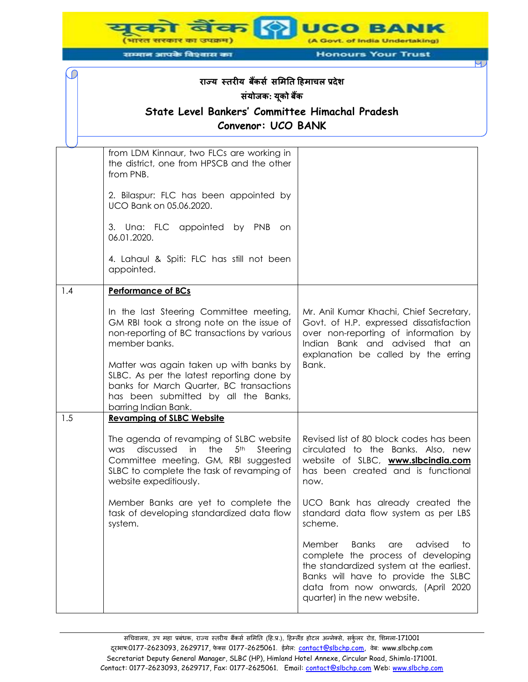**UCO BANK** (A Govt. of India Undertaking) (भारत सरकार का उपक्रम)

सम्मान आपके विश्वास का

C

**Honours Your Trust** 

# **राज्य स्तरीय बकैंर्स र्मितत हििाचल प्रदेश र्ंयोजक: यकू ो बकैं State Level Bankers' Committee Himachal Pradesh Convenor: UCO BANK**

|     | from LDM Kinnaur, two FLCs are working in<br>the district, one from HPSCB and the other<br>from PNB.<br>2. Bilaspur: FLC has been appointed by<br>UCO Bank on 05.06.2020.<br>3. Una: FLC appointed by PNB<br>on<br>06.01.2020.<br>4. Lahaul & Spiti: FLC has still not been |                                                                                                                                                                                                                                               |
|-----|-----------------------------------------------------------------------------------------------------------------------------------------------------------------------------------------------------------------------------------------------------------------------------|-----------------------------------------------------------------------------------------------------------------------------------------------------------------------------------------------------------------------------------------------|
|     | appointed.                                                                                                                                                                                                                                                                  |                                                                                                                                                                                                                                               |
| 1.4 | <b>Performance of BCs</b>                                                                                                                                                                                                                                                   |                                                                                                                                                                                                                                               |
|     | In the last Steering Committee meeting,<br>GM RBI took a strong note on the issue of<br>non-reporting of BC transactions by various<br>member banks.                                                                                                                        | Mr. Anil Kumar Khachi, Chief Secretary,<br>Govt. of H.P. expressed dissatisfaction<br>over non-reporting of information by<br>Indian Bank and advised that an<br>explanation be called by the erring                                          |
|     | Matter was again taken up with banks by<br>SLBC. As per the latest reporting done by<br>banks for March Quarter, BC transactions<br>has been submitted by all the Banks,<br>barring Indian Bank.                                                                            | Bank.                                                                                                                                                                                                                                         |
| 1.5 | <b>Revamping of SLBC Website</b>                                                                                                                                                                                                                                            |                                                                                                                                                                                                                                               |
|     | The agenda of revamping of SLBC website<br>in<br>the<br>5 <sup>th</sup><br>discussed<br>Steering<br>was<br>Committee meeting. GM, RBI suggested<br>SLBC to complete the task of revamping of<br>website expeditiously.                                                      | Revised list of 80 block codes has been<br>circulated to the Banks. Also, new<br>website of SLBC, www.slbcindia.com<br>has been created and is functional<br>now.                                                                             |
|     | Member Banks are yet to complete the<br>task of developing standardized data flow<br>system.                                                                                                                                                                                | UCO Bank has already created the<br>standard data flow system as per LBS<br>scheme.                                                                                                                                                           |
|     |                                                                                                                                                                                                                                                                             | <b>Banks</b><br>Member<br>advised<br>to<br>are<br>complete the process of developing<br>the standardized system at the earliest.<br>Banks will have to provide the SLBC<br>data from now onwards, (April 2020<br>quarter) in the new website. |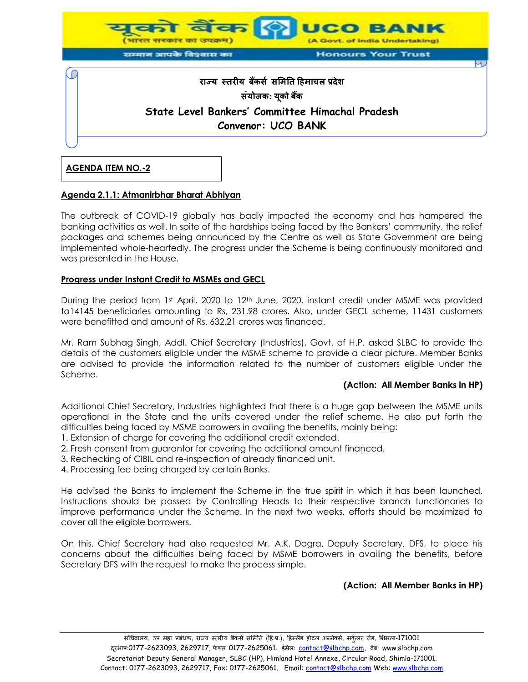

**AGENDA ITEM NO.-2**

#### **Agenda 2.1.1: Atmanirbhar Bharat Abhiyan**

The outbreak of COVID-19 globally has badly impacted the economy and has hampered the banking activities as well. In spite of the hardships being faced by the Bankers' community, the relief packages and schemes being announced by the Centre as well as State Government are being implemented whole-heartedly. The progress under the Scheme is being continuously monitored and was presented in the House.

### **Progress under Instant Credit to MSMEs and GECL**

During the period from 1st April, 2020 to 12<sup>th</sup> June, 2020, instant credit under MSME was provided to14145 beneficiaries amounting to Rs, 231.98 crores. Also, under GECL scheme, 11431 customers were benefitted and amount of Rs. 632.21 crores was financed.

Mr. Ram Subhag Singh, Addl. Chief Secretary (Industries), Govt. of H.P. asked SLBC to provide the details of the customers eligible under the MSME scheme to provide a clear picture. Member Banks are advised to provide the information related to the number of customers eligible under the Scheme.

#### **(Action: All Member Banks in HP)**

Additional Chief Secretary, Industries highlighted that there is a huge gap between the MSME units operational in the State and the units covered under the relief scheme. He also put forth the difficulties being faced by MSME borrowers in availing the benefits, mainly being:

- 1. Extension of charge for covering the additional credit extended.
- 2. Fresh consent from guarantor for covering the additional amount financed.
- 3. Rechecking of CIBIL and re-inspection of already financed unit.
- 4. Processing fee being charged by certain Banks.

He advised the Banks to implement the Scheme in the true spirit in which it has been launched. Instructions should be passed by Controlling Heads to their respective branch functionaries to improve performance under the Scheme. In the next two weeks, efforts should be maximized to cover all the eligible borrowers.

On this, Chief Secretary had also requested Mr. A.K. Dogra, Deputy Secretary, DFS, to place his concerns about the difficulties being faced by MSME borrowers in availing the benefits, before Secretary DFS with the request to make the process simple.

#### **(Action: All Member Banks in HP)**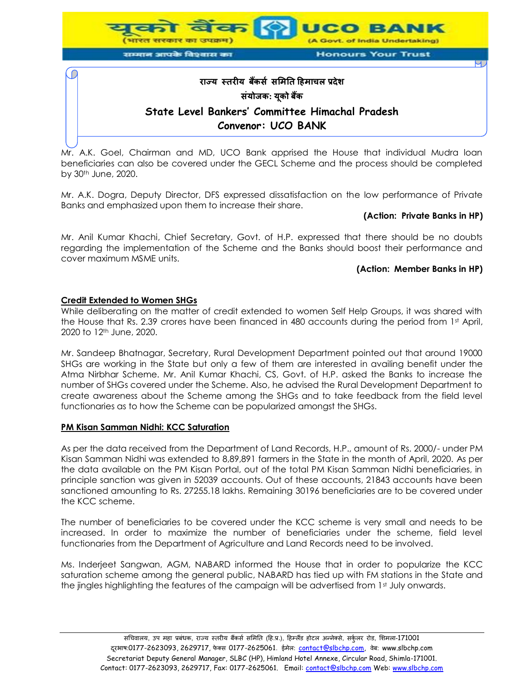

Mr. A.K. Goel, Chairman and MD, UCO Bank apprised the House that individual Mudra loan beneficiaries can also be covered under the GECL Scheme and the process should be completed by 30th June, 2020.

Mr. A.K. Dogra, Deputy Director, DFS expressed dissatisfaction on the low performance of Private Banks and emphasized upon them to increase their share.

#### **(Action: Private Banks in HP)**

Mr. Anil Kumar Khachi, Chief Secretary, Govt. of H.P. expressed that there should be no doubts regarding the implementation of the Scheme and the Banks should boost their performance and cover maximum MSME units.

#### **(Action: Member Banks in HP)**

## **Credit Extended to Women SHGs**

While deliberating on the matter of credit extended to women Self Help Groups, it was shared with the House that Rs. 2.39 crores have been financed in 480 accounts during the period from 1st April, 2020 to 12th June, 2020.

Mr. Sandeep Bhatnagar, Secretary, Rural Development Department pointed out that around 19000 SHGs are working in the State but only a few of them are interested in availing benefit under the Atma Nirbhar Scheme. Mr. Anil Kumar Khachi, CS, Govt. of H.P. asked the Banks to increase the number of SHGs covered under the Scheme. Also, he advised the Rural Development Department to create awareness about the Scheme among the SHGs and to take feedback from the field level functionaries as to how the Scheme can be popularized amongst the SHGs.

#### **PM Kisan Samman Nidhi: KCC Saturation**

As per the data received from the Department of Land Records, H.P., amount of Rs. 2000/- under PM Kisan Samman Nidhi was extended to 8,89,891 farmers in the State in the month of April, 2020. As per the data available on the PM Kisan Portal, out of the total PM Kisan Samman Nidhi beneficiaries, in principle sanction was given in 52039 accounts. Out of these accounts, 21843 accounts have been sanctioned amounting to Rs. 27255.18 lakhs. Remaining 30196 beneficiaries are to be covered under the KCC scheme.

The number of beneficiaries to be covered under the KCC scheme is very small and needs to be increased. In order to maximize the number of beneficiaries under the scheme, field level functionaries from the Department of Agriculture and Land Records need to be involved.

Ms. Inderjeet Sangwan, AGM, NABARD informed the House that in order to popularize the KCC saturation scheme among the general public, NABARD has tied up with FM stations in the State and the jingles highlighting the features of the campaign will be advertised from 1st July onwards.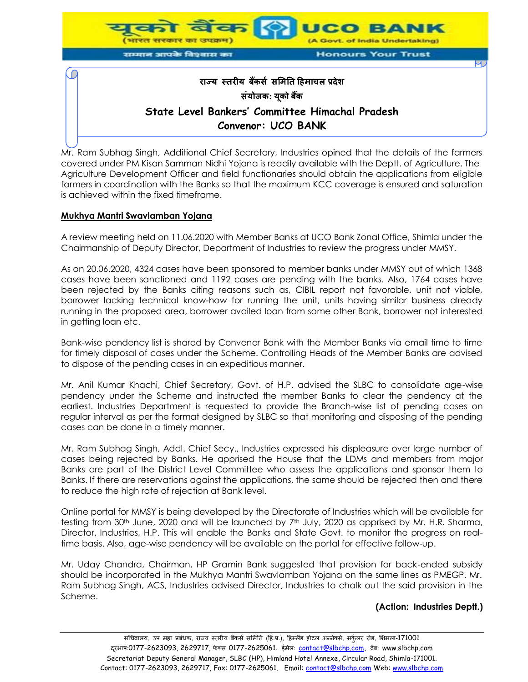

Mr. Ram Subhag Singh, Additional Chief Secretary, Industries opined that the details of the farmers covered under PM Kisan Samman Nidhi Yojana is readily available with the Deptt. of Agriculture. The Agriculture Development Officer and field functionaries should obtain the applications from eligible farmers in coordination with the Banks so that the maximum KCC coverage is ensured and saturation is achieved within the fixed timeframe.

#### **Mukhya Mantri Swavlamban Yojana**

A review meeting held on 11.06.2020 with Member Banks at UCO Bank Zonal Office, Shimla under the Chairmanship of Deputy Director, Department of Industries to review the progress under MMSY.

As on 20.06.2020, 4324 cases have been sponsored to member banks under MMSY out of which 1368 cases have been sanctioned and 1192 cases are pending with the banks. Also, 1764 cases have been rejected by the Banks citing reasons such as, CIBIL report not favorable, unit not viable, borrower lacking technical know-how for running the unit, units having similar business already running in the proposed area, borrower availed loan from some other Bank, borrower not interested in getting loan etc.

Bank-wise pendency list is shared by Convener Bank with the Member Banks via email time to time for timely disposal of cases under the Scheme. Controlling Heads of the Member Banks are advised to dispose of the pending cases in an expeditious manner.

Mr. Anil Kumar Khachi, Chief Secretary, Govt. of H.P. advised the SLBC to consolidate age-wise pendency under the Scheme and instructed the member Banks to clear the pendency at the earliest. Industries Department is requested to provide the Branch-wise list of pending cases on regular interval as per the format designed by SLBC so that monitoring and disposing of the pending cases can be done in a timely manner.

Mr. Ram Subhag Singh, Addl. Chief Secy., Industries expressed his displeasure over large number of cases being rejected by Banks. He apprised the House that the LDMs and members from major Banks are part of the District Level Committee who assess the applications and sponsor them to Banks. If there are reservations against the applications, the same should be rejected then and there to reduce the high rate of rejection at Bank level.

Online portal for MMSY is being developed by the Directorate of Industries which will be available for testing from 30th June, 2020 and will be launched by 7th July, 2020 as apprised by Mr. H.R. Sharma, Director, Industries, H.P. This will enable the Banks and State Govt. to monitor the progress on realtime basis. Also, age-wise pendency will be available on the portal for effective follow-up.

Mr. Uday Chandra, Chairman, HP Gramin Bank suggested that provision for back-ended subsidy should be incorporated in the Mukhya Mantri Swavlamban Yojana on the same lines as PMEGP. Mr. Ram Subhag Singh, ACS, Industries advised Director, Industries to chalk out the said provision in the Scheme.

#### **(Action: Industries Deptt.)**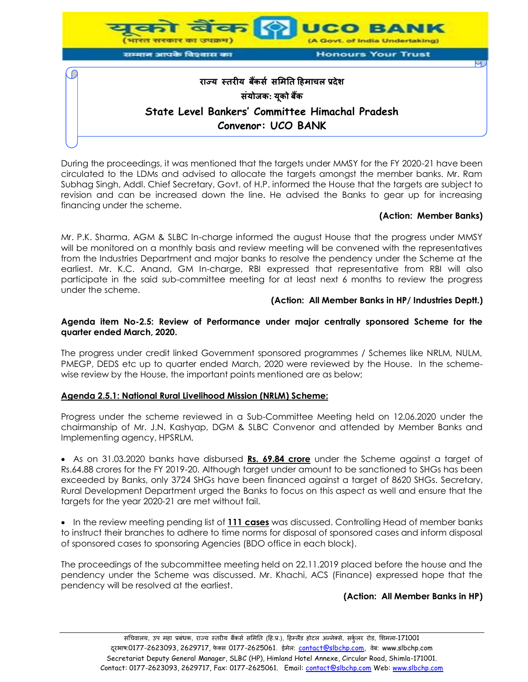

During the proceedings, it was mentioned that the targets under MMSY for the FY 2020-21 have been circulated to the LDMs and advised to allocate the targets amongst the member banks. Mr. Ram Subhag Singh, Addl. Chief Secretary, Govt. of H.P. informed the House that the targets are subject to revision and can be increased down the line. He advised the Banks to gear up for increasing financing under the scheme.

### **(Action: Member Banks)**

Mr. P.K. Sharma, AGM & SLBC In-charge informed the august House that the progress under MMSY will be monitored on a monthly basis and review meeting will be convened with the representatives from the Industries Department and major banks to resolve the pendency under the Scheme at the earliest. Mr. K.C. Anand, GM In-charge, RBI expressed that representative from RBI will also participate in the said sub-committee meeting for at least next 6 months to review the progress under the scheme.

#### **(Action: All Member Banks in HP/ Industries Deptt.)**

#### **Agenda item No-2.5: Review of Performance under major centrally sponsored Scheme for the quarter ended March, 2020.**

The progress under credit linked Government sponsored programmes / Schemes like NRLM, NULM, PMEGP, DEDS etc up to quarter ended March, 2020 were reviewed by the House. In the schemewise review by the House, the important points mentioned are as below;

#### **Agenda 2.5.1: National Rural Livelihood Mission (NRLM) Scheme:**

Progress under the scheme reviewed in a Sub-Committee Meeting held on 12.06.2020 under the chairmanship of Mr. J.N. Kashyap, DGM & SLBC Convenor and attended by Member Banks and Implementing agency, HPSRLM.

 As on 31.03.2020 banks have disbursed **Rs. 69.84 crore** under the Scheme against a target of Rs.64.88 crores for the FY 2019-20. Although target under amount to be sanctioned to SHGs has been exceeded by Banks, only 3724 SHGs have been financed against a target of 8620 SHGs. Secretary, Rural Development Department urged the Banks to focus on this aspect as well and ensure that the targets for the year 2020-21 are met without fail.

• In the review meeting pending list of 111 cases was discussed. Controlling Head of member banks to instruct their branches to adhere to time norms for disposal of sponsored cases and inform disposal of sponsored cases to sponsoring Agencies (BDO office in each block).

The proceedings of the subcommittee meeting held on 22.11.2019 placed before the house and the pendency under the Scheme was discussed. Mr. Khachi, ACS (Finance) expressed hope that the pendency will be resolved at the earliest.

#### **(Action: All Member Banks in HP)**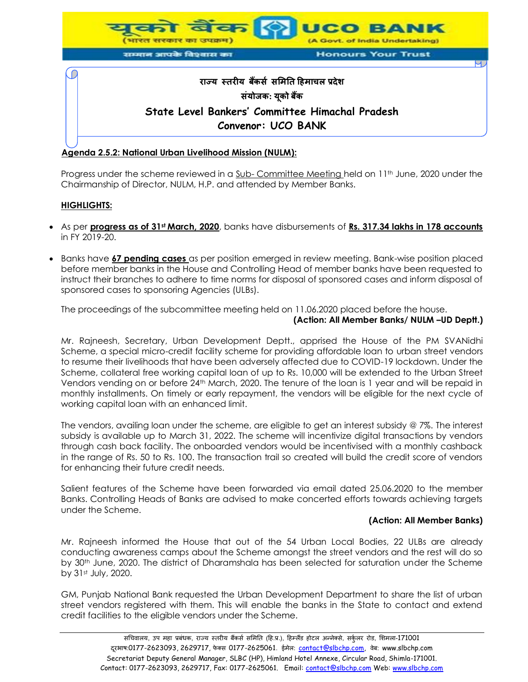

#### **Agenda 2.5.2: National Urban Livelihood Mission (NULM):**

Progress under the scheme reviewed in a Sub- Committee Meeting held on 11<sup>th</sup> June, 2020 under the Chairmanship of Director, NULM, H.P. and attended by Member Banks.

### **HIGHLIGHTS:**

- As per **progress as of 31st March, 2020**, banks have disbursements of **Rs. 317.34 lakhs in 178 accounts** in FY 2019-20.
- Banks have **67 pending cases** as per position emerged in review meeting. Bank-wise position placed before member banks in the House and Controlling Head of member banks have been requested to instruct their branches to adhere to time norms for disposal of sponsored cases and inform disposal of sponsored cases to sponsoring Agencies (ULBs).

The proceedings of the subcommittee meeting held on 11.06.2020 placed before the house.

### **(Action: All Member Banks/ NULM –UD Deptt.)**

Mr. Rajneesh, Secretary, Urban Development Deptt., apprised the House of the PM SVANidhi Scheme, a special micro-credit facility scheme for providing affordable loan to urban street vendors to resume their livelihoods that have been adversely affected due to COVID-19 lockdown. Under the Scheme, collateral free working capital loan of up to Rs. 10,000 will be extended to the Urban Street Vendors vending on or before 24th March, 2020. The tenure of the loan is 1 year and will be repaid in monthly installments. On timely or early repayment, the vendors will be eligible for the next cycle of working capital loan with an enhanced limit.

The vendors, availing loan under the scheme, are eligible to get an interest subsidy @ 7%. The interest subsidy is available up to March 31, 2022. The scheme will incentivize digital transactions by vendors through cash back facility. The onboarded vendors would be incentivised with a monthly cashback in the range of Rs. 50 to Rs. 100. The transaction trail so created will build the credit score of vendors for enhancing their future credit needs.

Salient features of the Scheme have been forwarded via email dated 25.06.2020 to the member Banks. Controlling Heads of Banks are advised to make concerted efforts towards achieving targets under the Scheme.

#### **(Action: All Member Banks)**

Mr. Rajneesh informed the House that out of the 54 Urban Local Bodies, 22 ULBs are already conducting awareness camps about the Scheme amongst the street vendors and the rest will do so by 30th June, 2020. The district of Dharamshala has been selected for saturation under the Scheme by 31st July, 2020.

GM, Punjab National Bank requested the Urban Development Department to share the list of urban street vendors registered with them. This will enable the banks in the State to contact and extend credit facilities to the eligible vendors under the Scheme.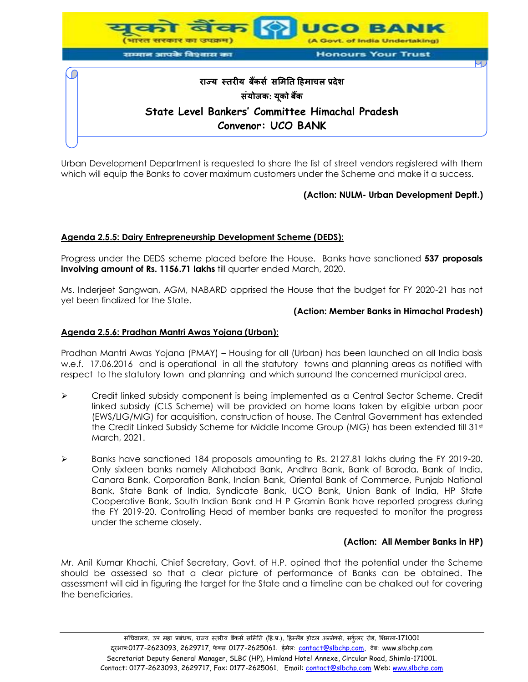

Urban Development Department is requested to share the list of street vendors registered with them which will equip the Banks to cover maximum customers under the Scheme and make it a success.

# **(Action: NULM- Urban Development Deptt.)**

#### **Agenda 2.5.5: Dairy Entrepreneurship Development Scheme (DEDS):**

Progress under the DEDS scheme placed before the House. Banks have sanctioned **537 proposals involving amount of Rs. 1156.71 lakhs** till quarter ended March, 2020.

Ms. Inderjeet Sangwan, AGM, NABARD apprised the House that the budget for FY 2020-21 has not yet been finalized for the State.

#### **(Action: Member Banks in Himachal Pradesh)**

#### **Agenda 2.5.6: Pradhan Mantri Awas Yojana (Urban):**

Pradhan Mantri Awas Yojana (PMAY) – Housing for all (Urban) has been launched on all India basis w.e.f. 17.06.2016 and is operational in all the statutory towns and planning areas as notified with respect to the statutory town and planning and which surround the concerned municipal area.

- $\triangleright$  Credit linked subsidy component is being implemented as a Central Sector Scheme. Credit linked subsidy (CLS Scheme) will be provided on home loans taken by eligible urban poor (EWS/LIG/MIG) for acquisition, construction of house. The Central Government has extended the Credit Linked Subsidy Scheme for Middle Income Group (MIG) has been extended till 31st March, 2021.
- Banks have sanctioned 184 proposals amounting to Rs. 2127.81 lakhs during the FY 2019-20. Only sixteen banks namely Allahabad Bank, Andhra Bank, Bank of Baroda, Bank of India, Canara Bank, Corporation Bank, Indian Bank, Oriental Bank of Commerce, Punjab National Bank, State Bank of India, Syndicate Bank, UCO Bank, Union Bank of India, HP State Cooperative Bank, South Indian Bank and H P Gramin Bank have reported progress during the FY 2019-20. Controlling Head of member banks are requested to monitor the progress under the scheme closely.

#### **(Action: All Member Banks in HP)**

Mr. Anil Kumar Khachi, Chief Secretary, Govt. of H.P. opined that the potential under the Scheme should be assessed so that a clear picture of performance of Banks can be obtained. The assessment will aid in figuring the target for the State and a timeline can be chalked out for covering the beneficiaries.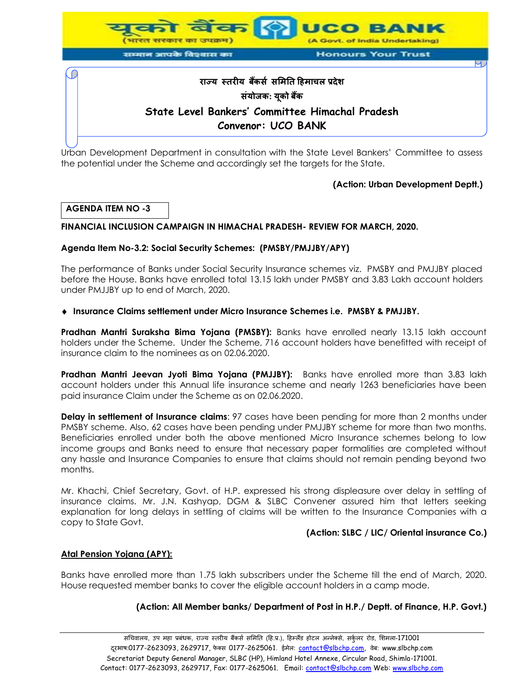

सम्मान आपके विश्वास का

**Honours Your Trust** 

# **राज्य स्तरीय बकैंर्स र्मितत हििाचल प्रदेश र्ंयोजक: यकू ो बकैं State Level Bankers' Committee Himachal Pradesh Convenor: UCO BANK**

Urban Development Department in consultation with the State Level Bankers' Committee to assess the potential under the Scheme and accordingly set the targets for the State.

# **(Action: Urban Development Deptt.)**

# **AGENDA ITEM NO -3**

# **FINANCIAL INCLUSION CAMPAIGN IN HIMACHAL PRADESH- REVIEW FOR MARCH, 2020.**

# **Agenda Item No-3.2: Social Security Schemes: (PMSBY/PMJJBY/APY)**

The performance of Banks under Social Security Insurance schemes viz. PMSBY and PMJJBY placed before the House. Banks have enrolled total 13.15 lakh under PMSBY and 3.83 Lakh account holders under PMJJBY up to end of March, 2020.

# **Insurance Claims settlement under Micro Insurance Schemes i.e. PMSBY & PMJJBY.**

**Pradhan Mantri Suraksha Bima Yojana (PMSBY):** Banks have enrolled nearly 13.15 lakh account holders under the Scheme. Under the Scheme, 716 account holders have benefitted with receipt of insurance claim to the nominees as on 02.06.2020.

**Pradhan Mantri Jeevan Jyoti Bima Yojana (PMJJBY):** Banks have enrolled more than 3.83 lakh account holders under this Annual life insurance scheme and nearly 1263 beneficiaries have been paid insurance Claim under the Scheme as on 02.06.2020.

**Delay in settlement of Insurance claims**: 97 cases have been pending for more than 2 months under PMSBY scheme. Also, 62 cases have been pending under PMJJBY scheme for more than two months. Beneficiaries enrolled under both the above mentioned Micro Insurance schemes belong to low income groups and Banks need to ensure that necessary paper formalities are completed without any hassle and Insurance Companies to ensure that claims should not remain pending beyond two months.

Mr. Khachi, Chief Secretary, Govt. of H.P. expressed his strong displeasure over delay in settling of insurance claims. Mr. J.N. Kashyap, DGM & SLBC Convener assured him that letters seeking explanation for long delays in settling of claims will be written to the Insurance Companies with a copy to State Govt.

# **(Action: SLBC / LIC/ Oriental insurance Co.)**

# **Atal Pension Yojana (APY):**

Banks have enrolled more than 1.75 lakh subscribers under the Scheme till the end of March, 2020. House requested member banks to cover the eligible account holders in a camp mode.

# **(Action: All Member banks/ Department of Post in H.P./ Deptt. of Finance, H.P. Govt.)**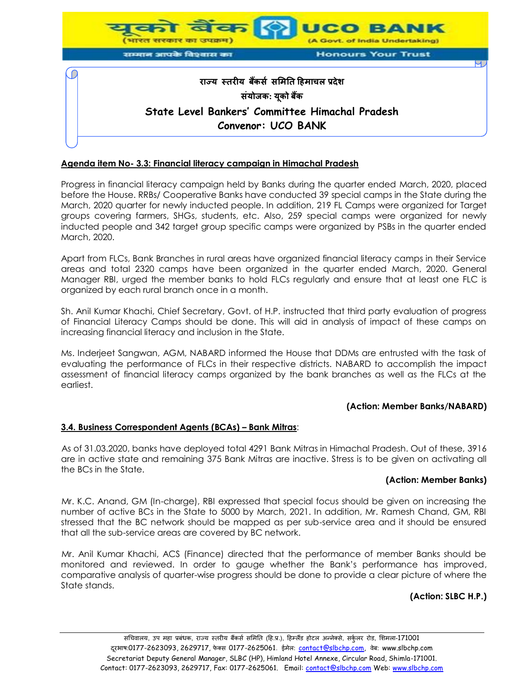

### **Agenda item No- 3.3: Financial literacy campaign in Himachal Pradesh**

Progress in financial literacy campaign held by Banks during the quarter ended March, 2020, placed before the House. RRBs/ Cooperative Banks have conducted 39 special camps in the State during the March, 2020 quarter for newly inducted people. In addition, 219 FL Camps were organized for Target groups covering farmers, SHGs, students, etc. Also, 259 special camps were organized for newly inducted people and 342 target group specific camps were organized by PSBs in the quarter ended March, 2020.

Apart from FLCs, Bank Branches in rural areas have organized financial literacy camps in their Service areas and total 2320 camps have been organized in the quarter ended March, 2020. General Manager RBI, urged the member banks to hold FLCs regularly and ensure that at least one FLC is organized by each rural branch once in a month.

Sh. Anil Kumar Khachi, Chief Secretary, Govt. of H.P. instructed that third party evaluation of progress of Financial Literacy Camps should be done. This will aid in analysis of impact of these camps on increasing financial literacy and inclusion in the State.

Ms. Inderjeet Sangwan, AGM, NABARD informed the House that DDMs are entrusted with the task of evaluating the performance of FLCs in their respective districts. NABARD to accomplish the impact assessment of financial literacy camps organized by the bank branches as well as the FLCs at the earliest.

#### **(Action: Member Banks/NABARD)**

#### **3.4. Business Correspondent Agents (BCAs) – Bank Mitras**:

As of 31.03.2020, banks have deployed total 4291 Bank Mitras in Himachal Pradesh. Out of these, 3916 are in active state and remaining 375 Bank Mitras are inactive. Stress is to be given on activating all the BCs in the State.

#### **(Action: Member Banks)**

Mr. K.C. Anand, GM (In-charge), RBI expressed that special focus should be given on increasing the number of active BCs in the State to 5000 by March, 2021. In addition, Mr. Ramesh Chand, GM, RBI stressed that the BC network should be mapped as per sub-service area and it should be ensured that all the sub-service areas are covered by BC network.

Mr. Anil Kumar Khachi, ACS (Finance) directed that the performance of member Banks should be monitored and reviewed. In order to gauge whether the Bank's performance has improved, comparative analysis of quarter-wise progress should be done to provide a clear picture of where the State stands.

## **(Action: SLBC H.P.)**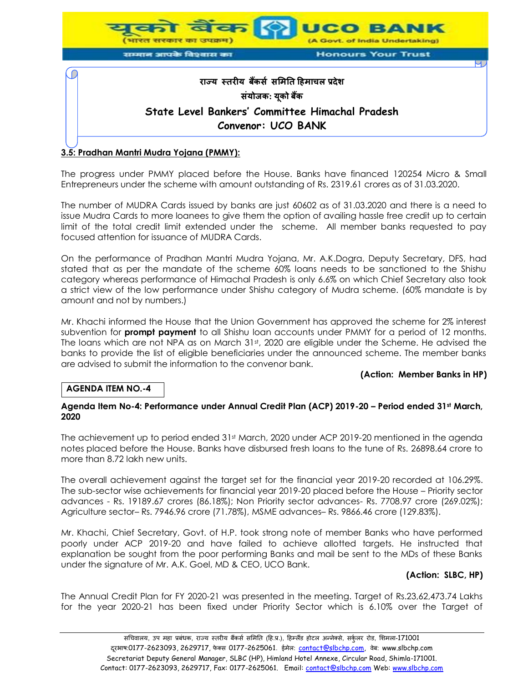

The progress under PMMY placed before the House. Banks have financed 120254 Micro & Small Entrepreneurs under the scheme with amount outstanding of Rs. 2319.61 crores as of 31.03.2020.

The number of MUDRA Cards issued by banks are just 60602 as of 31.03.2020 and there is a need to issue Mudra Cards to more loanees to give them the option of availing hassle free credit up to certain limit of the total credit limit extended under the scheme. All member banks requested to pay focused attention for issuance of MUDRA Cards.

On the performance of Pradhan Mantri Mudra Yojana, Mr. A.K.Dogra, Deputy Secretary, DFS, had stated that as per the mandate of the scheme 60% loans needs to be sanctioned to the Shishu category whereas performance of Himachal Pradesh is only 6.6% on which Chief Secretary also took a strict view of the low performance under Shishu category of Mudra scheme. (60% mandate is by amount and not by numbers.)

Mr. Khachi informed the House that the Union Government has approved the scheme for 2% interest subvention for **prompt payment** to all Shishu loan accounts under PMMY for a period of 12 months. The loans which are not NPA as on March  $31st$ , 2020 are eligible under the Scheme. He advised the banks to provide the list of eligible beneficiaries under the announced scheme. The member banks are advised to submit the information to the convenor bank.

#### **(Action: Member Banks in HP)**

# **AGENDA ITEM NO.-4**

#### **Agenda Item No-4: Performance under Annual Credit Plan (ACP) 2019-20 – Period ended 31st March, 2020**

The achievement up to period ended 31st March, 2020 under ACP 2019-20 mentioned in the agenda notes placed before the House. Banks have disbursed fresh loans to the tune of Rs. 26898.64 crore to more than 8.72 lakh new units.

The overall achievement against the target set for the financial year 2019-20 recorded at 106.29%. The sub-sector wise achievements for financial year 2019-20 placed before the House – Priority sector advances - Rs. 19189.67 crores (86.18%); Non Priority sector advances- Rs. 7708.97 crore (269.02%); Agriculture sector– Rs. 7946.96 crore (71.78%), MSME advances– Rs. 9866.46 crore (129.83%).

Mr. Khachi, Chief Secretary, Govt. of H.P. took strong note of member Banks who have performed poorly under ACP 2019-20 and have failed to achieve allotted targets. He instructed that explanation be sought from the poor performing Banks and mail be sent to the MDs of these Banks under the signature of Mr. A.K. Goel, MD & CEO, UCO Bank.

#### **(Action: SLBC, HP)**

The Annual Credit Plan for FY 2020-21 was presented in the meeting. Target of Rs.23,62,473.74 Lakhs for the year 2020-21 has been fixed under Priority Sector which is 6.10% over the Target of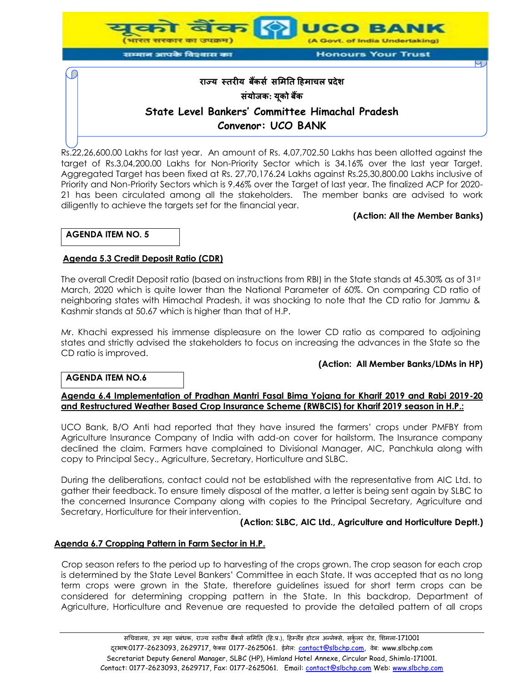

Rs.22,26,600.00 Lakhs for last year. An amount of Rs. 4,07,702.50 Lakhs has been allotted against the target of Rs.3,04,200.00 Lakhs for Non-Priority Sector which is 34.16% over the last year Target. Aggregated Target has been fixed at Rs. 27,70,176.24 Lakhs against Rs.25,30,800.00 Lakhs inclusive of Priority and Non-Priority Sectors which is 9.46% over the Target of last year. The finalized ACP for 2020- 21 has been circulated among all the stakeholders. The member banks are advised to work diligently to achieve the targets set for the financial year.

### **(Action: All the Member Banks)**

### **AGENDA ITEM NO. 5**

### **Agenda 5.3 Credit Deposit Ratio (CDR)**

The overall Credit Deposit ratio (based on instructions from RBI) in the State stands at 45.30% as of 31st March, 2020 which is quite lower than the National Parameter of 60%. On comparing CD ratio of neighboring states with Himachal Pradesh, it was shocking to note that the CD ratio for Jammu & Kashmir stands at 50.67 which is higher than that of H.P.

Mr. Khachi expressed his immense displeasure on the lower CD ratio as compared to adjoining states and strictly advised the stakeholders to focus on increasing the advances in the State so the CD ratio is improved.

#### **(Action: All Member Banks/LDMs in HP)**

#### **AGENDA ITEM NO.6**

#### **Agenda 6.4 Implementation of Pradhan Mantri Fasal Bima Yojana for Kharif 2019 and Rabi 2019-20 and Restructured Weather Based Crop Insurance Scheme (RWBCIS) for Kharif 2019 season in H.P.:**

UCO Bank, B/O Anti had reported that they have insured the farmers' crops under PMFBY from Agriculture Insurance Company of India with add-on cover for hailstorm. The Insurance company declined the claim. Farmers have complained to Divisional Manager, AIC, Panchkula along with copy to Principal Secy., Agriculture, Secretary, Horticulture and SLBC.

During the deliberations, contact could not be established with the representative from AIC Ltd. to gather their feedback. To ensure timely disposal of the matter, a letter is being sent again by SLBC to the concerned Insurance Company along with copies to the Principal Secretary, Agriculture and Secretary, Horticulture for their intervention.

#### **(Action: SLBC, AIC Ltd., Agriculture and Horticulture Deptt.)**

#### **Agenda 6.7 Cropping Pattern in Farm Sector in H.P.**

Crop season refers to the period up to harvesting of the crops grown. The crop season for each crop is determined by the State Level Bankers' Committee in each State. It was accepted that as no long term crops were grown in the State, therefore guidelines issued for short term crops can be considered for determining cropping pattern in the State. In this backdrop, Department of Agriculture, Horticulture and Revenue are requested to provide the detailed pattern of all crops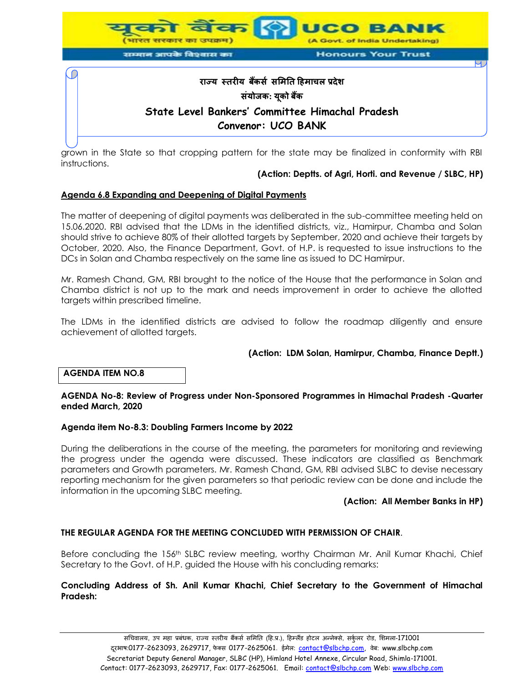

grown in the State so that cropping pattern for the state may be finalized in conformity with RBI instructions.

#### **(Action: Deptts. of Agri, Horti. and Revenue / SLBC, HP)**

### **Agenda 6.8 Expanding and Deepening of Digital Payments**

The matter of deepening of digital payments was deliberated in the sub-committee meeting held on 15.06.2020. RBI advised that the LDMs in the identified districts, viz., Hamirpur, Chamba and Solan should strive to achieve 80% of their allotted targets by September, 2020 and achieve their targets by October, 2020. Also, the Finance Department, Govt. of H.P. is requested to issue instructions to the DCs in Solan and Chamba respectively on the same line as issued to DC Hamirpur.

Mr. Ramesh Chand, GM, RBI brought to the notice of the House that the performance in Solan and Chamba district is not up to the mark and needs improvement in order to achieve the allotted targets within prescribed timeline.

The LDMs in the identified districts are advised to follow the roadmap diligently and ensure achievement of allotted targets.

#### **(Action: LDM Solan, Hamirpur, Chamba, Finance Deptt.)**

#### **AGENDA ITEM NO.8**

#### **AGENDA No-8: Review of Progress under Non-Sponsored Programmes in Himachal Pradesh -Quarter ended March, 2020**

#### **Agenda item No-8.3: Doubling Farmers Income by 2022**

During the deliberations in the course of the meeting, the parameters for monitoring and reviewing the progress under the agenda were discussed. These indicators are classified as Benchmark parameters and Growth parameters. Mr. Ramesh Chand, GM, RBI advised SLBC to devise necessary reporting mechanism for the given parameters so that periodic review can be done and include the information in the upcoming SLBC meeting.

#### **(Action: All Member Banks in HP)**

# **THE REGULAR AGENDA FOR THE MEETING CONCLUDED WITH PERMISSION OF CHAIR**.

Before concluding the 156<sup>th</sup> SLBC review meeting, worthy Chairman Mr. Anil Kumar Khachi, Chief Secretary to the Govt. of H.P. guided the House with his concluding remarks:

#### **Concluding Address of Sh. Anil Kumar Khachi, Chief Secretary to the Government of Himachal Pradesh:**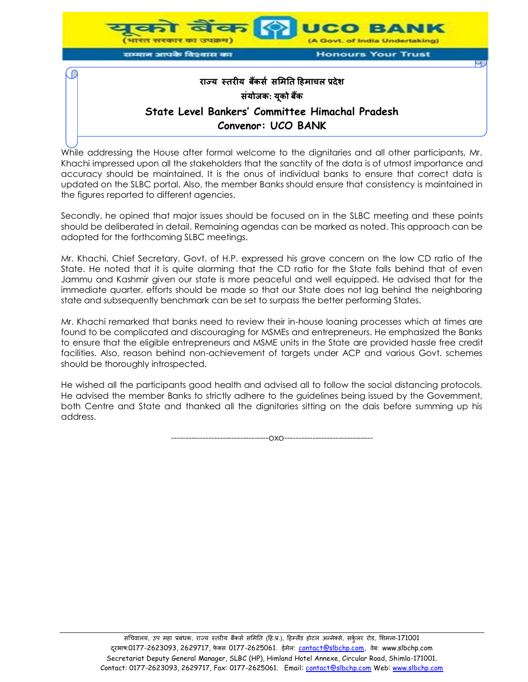

While addressing the House after formal welcome to the dignitaries and all other participants, Mr. Khachi impressed upon all the stakeholders that the sanctity of the data is of utmost importance and accuracy should be maintained. It is the onus of individual banks to ensure that correct data is updated on the SLBC portal. Also, the member Banks should ensure that consistency is maintained in the figures reported to different agencies.

Secondly, he opined that major issues should be focused on in the SLBC meeting and these points should be deliberated in detail. Remaining agendas can be marked as noted. This approach can be adopted for the forthcoming SLBC meetings.

Mr. Khachi, Chief Secretary, Govt. of H.P. expressed his grave concern on the low CD ratio of the State. He noted that it is quite alarming that the CD ratio for the State falls behind that of even Jammu and Kashmir given our state is more peaceful and well equipped. He advised that for the immediate quarter, efforts should be made so that our State does not lag behind the neighboring state and subsequently benchmark can be set to surpass the better performing States.

Mr. Khachi remarked that banks need to review their in-house loaning processes which at times are found to be complicated and discouraging for MSMEs and entrepreneurs. He emphasized the Banks to ensure that the eligible entrepreneurs and MSME units in the State are provided hassle free credit facilities. Also, reason behind non-achievement of targets under ACP and various Govt. schemes should be thoroughly introspected.

He wished all the participants good health and advised all to follow the social distancing protocols. He advised the member Banks to strictly adhere to the guidelines being issued by the Government, both Centre and State and thanked all the dignitaries sitting on the dais before summing up his address.

 $-0X0$ --------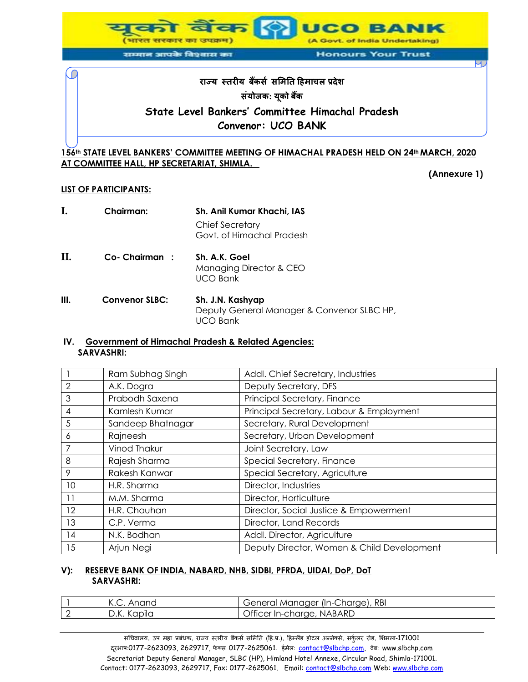

#### सम्मान आपके विश्वास का

**Honours Your Trust** 

# **राज्य स्तरीय बकैंर्स र्मितत हििाचल प्रदेश र्ंयोजक: यकू ो बकैं State Level Bankers' Committee Himachal Pradesh Convenor: UCO BANK**

# **156th STATE LEVEL BANKERS' COMMITTEE MEETING OF HIMACHAL PRADESH HELD ON 24th MARCH, 2020 AT COMMITTEE HALL, HP SECRETARIAT, SHIMLA.**

**(Annexure 1)**

# **LIST OF PARTICIPANTS:**

| Ι.   | <b>Chairman:</b>      | Sh. Anil Kumar Khachi, IAS                                     |
|------|-----------------------|----------------------------------------------------------------|
|      |                       | <b>Chief Secretary</b><br>Govt. of Himachal Pradesh            |
| П.   | Co-Chairman:          | Sh. A.K. Goel<br>Managing Director & CEO<br><b>UCO Bank</b>    |
| III. | <b>Convenor SLBC:</b> | Sh. J.N. Kashyap<br>Deputy General Manager & Convenor SLBC HP, |

UCO Bank

#### **IV. Government of Himachal Pradesh & Related Agencies: SARVASHRI:**

|                | Ram Subhag Singh  | Addl. Chief Secretary, Industries          |
|----------------|-------------------|--------------------------------------------|
| 2              | A.K. Dogra        | Deputy Secretary, DFS                      |
| 3              | Prabodh Saxena    | Principal Secretary, Finance               |
| $\overline{4}$ | Kamlesh Kumar     | Principal Secretary, Labour & Employment   |
| 5              | Sandeep Bhatnagar | Secretary, Rural Development               |
| 6              | Rajneesh          | Secretary, Urban Development               |
| 7              | Vinod Thakur      | Joint Secretary, Law                       |
| 8              | Rajesh Sharma     | Special Secretary, Finance                 |
| 9              | Rakesh Kanwar     | Special Secretary, Agriculture             |
| 10             | H.R. Sharma       | Director, Industries                       |
| 11             | M.M. Sharma       | Director, Horticulture                     |
| 12             | H.R. Chauhan      | Director, Social Justice & Empowerment     |
| 13             | C.P. Verma        | Director, Land Records                     |
| 14             | N.K. Bodhan       | Addl. Director, Agriculture                |
| 15             | Arjun Negi        | Deputy Director, Women & Child Development |

# **V): RESERVE BANK OF INDIA, NABARD, NHB, SIDBI, PFRDA, UIDAI, DoP, DoT SARVASHRI:**

| $\sqrt{ }$<br>Anand<br>$\sim$ N.C. . | (In-Charge), RBI<br>General Manager   |
|--------------------------------------|---------------------------------------|
| D.K. Kapıla                          | Officer In-charge, I<br><b>NABARD</b> |

सचिवालय, उप महा प्रबंधक, राज्य स्तरीय बैंकर्स समिति (हि.प्र.), हिम्लैंड होटल अन्नेक्से, सर्कुलर रोड, शिमला-171001 दूरआष:0177-2623093, 2629717, फेक्स 0177-2625061. ईमेल: contact@slbchp.com, वेब: www.slbchp.com Secretariat Deputy General Manager, SLBC (HP), Himland Hotel Annexe, Circular Road, Shimla-171001. Contact: 0177-2623093, 2629717, Fax: 0177-2625061. Email: contact@slbchp.com Web: www.slbchp.com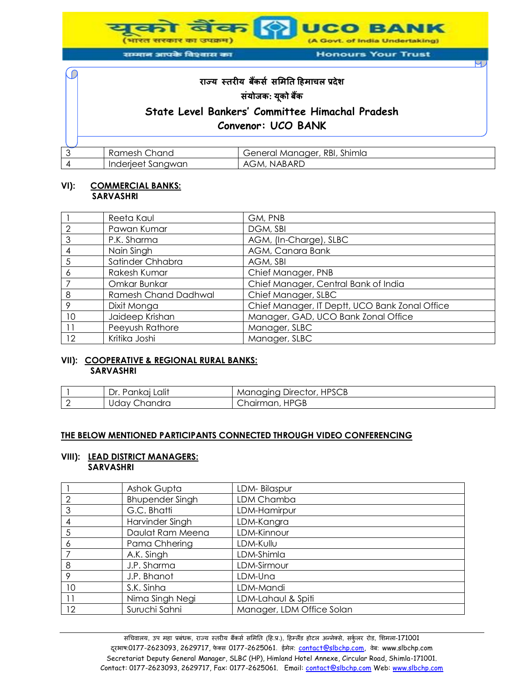**UCO BANK** (A Govt. of India Undertaking)

(भारत सरकार का उपक्रम) सम्मान आपके विश्वास का

**Honours Your Trust** 

# **राज्य स्तरीय बकैंर्स र्मितत हििाचल प्रदेश र्ंयोजक: यकू ो बकैं State Level Bankers' Committee Himachal Pradesh Convenor: UCO BANK**

|  | Chand<br>KUHIUSI.                          | Shimla<br>RBI,<br>General Manager, |
|--|--------------------------------------------|------------------------------------|
|  | <b>CATIAN</b><br>Inderi<br>Sanawan<br>ושטו | NABARD<br>Δ1<br>AGM.               |

#### **VI): COMMERCIAL BANKS: SARVASHRI**

C

|    | Reeta Kaul                  | GM, PNB                                        |
|----|-----------------------------|------------------------------------------------|
| 2  | Pawan Kumar                 | DGM, SBI                                       |
| 3  | P.K. Sharma                 | AGM, (In-Charge), SLBC                         |
|    | Nain Singh                  | AGM, Canara Bank                               |
| 5  | Satinder Chhabra            | AGM, SBI                                       |
| Ô  | Rakesh Kumar                | Chief Manager, PNB                             |
|    | Omkar Bunkar                | Chief Manager, Central Bank of India           |
| 8  | <b>Ramesh Chand Dadhwal</b> | Chief Manager, SLBC                            |
| 9  | Dixit Monga                 | Chief Manager, IT Deptt, UCO Bank Zonal Office |
| 10 | Jaideep Krishan             | Manager, GAD, UCO Bank Zonal Office            |
|    | Peeyush Rathore             | Manager, SLBC                                  |
| 12 | Kritika Joshi               | Manager, SLBC                                  |

#### **VII): COOPERATIVE & REGIONAL RURAL BANKS: SARVASHRI**

| Lalit<br>Dr.<br>Pankai L | Director, HPSCB<br>Manaaina ' |
|--------------------------|-------------------------------|
| Chandra<br>Jdav (        | , HPGB<br>Chairman, H         |

#### **THE BELOW MENTIONED PARTICIPANTS CONNECTED THROUGH VIDEO CONFERENCING**

#### **VIII): LEAD DISTRICT MANAGERS: SARVASHRI**

|                | Ashok Gupta            | LDM-Bilaspur              |
|----------------|------------------------|---------------------------|
| $\overline{2}$ | <b>Bhupender Singh</b> | LDM Chamba                |
| 3              | G.C. Bhatti            | LDM-Hamirpur              |
| $\overline{A}$ | Harvinder Singh        | LDM-Kangra                |
| 5              | Daulat Ram Meena       | LDM-Kinnour               |
| 6              | Pama Chhering          | LDM-Kullu                 |
|                | A.K. Singh             | LDM-Shimla                |
| 8              | J.P. Sharma            | LDM-Sirmour               |
| 9              | J.P. Bhanot            | LDM-Una                   |
| 10             | S.K. Sinha             | LDM-Mandi                 |
| 11             | Nima Singh Negi        | LDM-Lahaul & Spiti        |
| 12             | Suruchi Sahni          | Manager, LDM Office Solan |
|                |                        |                           |

सचिवालय, उप महा प्रबंधक, राज्य स्तरीय बैंकर्स समिति (हि.प्र.), हिम्लैंड होटल अन्नेक्से, सर्कुलर रोड, शिमला-171001 दूरभाष:0177-2623093, 2629717, फेक्स 0177-2625061. ईमेल: contact@slbchp.com, वेब: www.slbchp.com Secretariat Deputy General Manager, SLBC (HP), Himland Hotel Annexe, Circular Road, Shimla-171001. Contact: 0177-2623093, 2629717, Fax: 0177-2625061. Email: contact@slbchp.com Web: www.slbchp.com